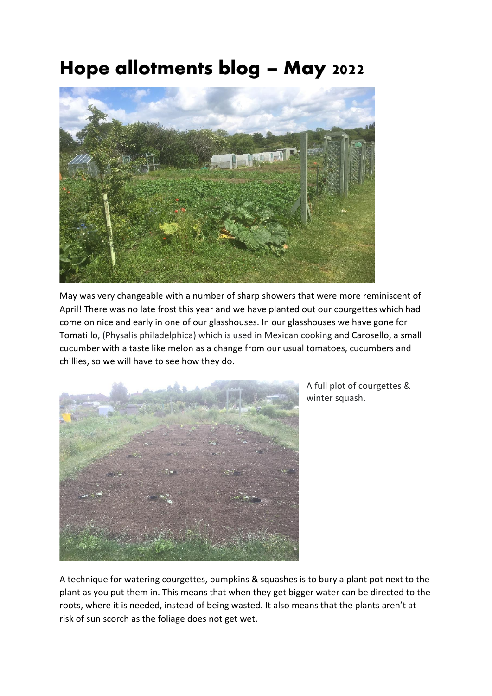## **Hope allotments blog – May 2022**



May was very changeable with a number of sharp showers that were more reminiscent of April! There was no late frost this year and we have planted out our courgettes which had come on nice and early in one of our glasshouses. In our glasshouses we have gone for Tomatillo, (Physalis philadelphica) which is used in Mexican cooking and Carosello, a small cucumber with a taste like melon as a change from our usual tomatoes, cucumbers and chillies, so we will have to see how they do.



A full plot of courgettes & winter squash.

A technique for watering courgettes, pumpkins & squashes is to bury a plant pot next to the plant as you put them in. This means that when they get bigger water can be directed to the roots, where it is needed, instead of being wasted. It also means that the plants aren't at risk of sun scorch as the foliage does not get wet.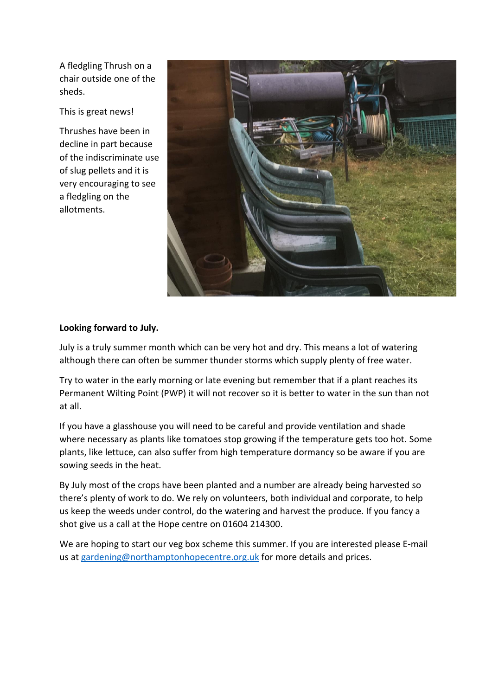A fledgling Thrush on a chair outside one of the sheds.

This is great news!

Thrushes have been in decline in part because of the indiscriminate use of slug pellets and it is very encouraging to see a fledgling on the allotments.



## **Looking forward to July.**

July is a truly summer month which can be very hot and dry. This means a lot of watering although there can often be summer thunder storms which supply plenty of free water.

Try to water in the early morning or late evening but remember that if a plant reaches its Permanent Wilting Point (PWP) it will not recover so it is better to water in the sun than not at all.

If you have a glasshouse you will need to be careful and provide ventilation and shade where necessary as plants like tomatoes stop growing if the temperature gets too hot. Some plants, like lettuce, can also suffer from high temperature dormancy so be aware if you are sowing seeds in the heat.

By July most of the crops have been planted and a number are already being harvested so there's plenty of work to do. We rely on volunteers, both individual and corporate, to help us keep the weeds under control, do the watering and harvest the produce. If you fancy a shot give us a call at the Hope centre on 01604 214300.

We are hoping to start our veg box scheme this summer. If you are interested please E-mail us at [gardening@northamptonhopecentre.org.uk](mailto:gardening@northamptonhopecentre.org.uk) for more details and prices.